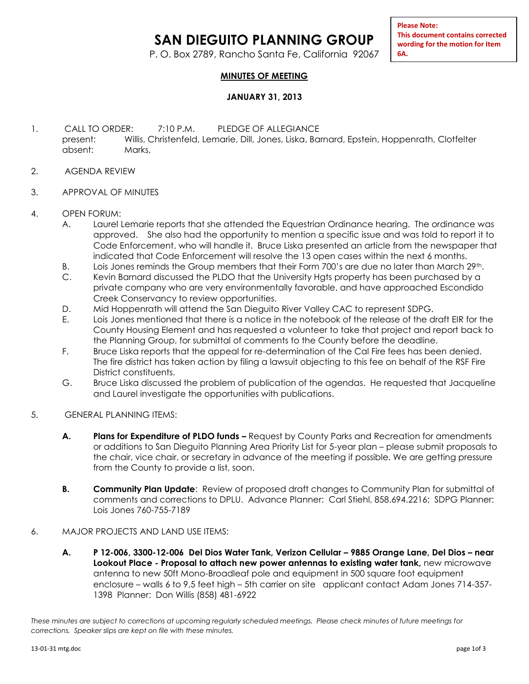## **SAN DIEGUITO PLANNING GROUP**

P. O. Box 2789, Rancho Santa Fe, California 92067

**Please Note: This document contains corrected wording for the motion for Item 6A.**

## **MINUTES OF MEETING**

## **JANUARY 31, 2013**

- 1. CALL TO ORDER: 7:10 P.M. PLEDGE OF ALLEGIANCE present: Willis, Christenfeld, Lemarie, Dill, Jones, Liska, Barnard, Epstein, Hoppenrath, Clotfelter absent: Marks,
- 2. AGENDA REVIEW
- 3. APPROVAL OF MINUTES
- 4. OPEN FORUM:
	- A. Laurel Lemarie reports that she attended the Equestrian Ordinance hearing. The ordinance was approved. She also had the opportunity to mention a specific issue and was told to report it to Code Enforcement, who will handle it. Bruce Liska presented an article from the newspaper that indicated that Code Enforcement will resolve the 13 open cases within the next 6 months.
	- B. Lois Jones reminds the Group members that their Form 700's are due no later than March 29th.
	- C. Kevin Barnard discussed the PLDO that the University Hgts property has been purchased by a private company who are very environmentally favorable, and have approached Escondido Creek Conservancy to review opportunities.
	- D. Mid Hoppenrath will attend the San Dieguito River Valley CAC to represent SDPG.
	- E. Lois Jones mentioned that there is a notice in the notebook of the release of the draft EIR for the County Housing Element and has requested a volunteer to take that project and report back to the Planning Group, for submittal of comments to the County before the deadline.
	- F. Bruce Liska reports that the appeal for re-determination of the Cal Fire fees has been denied. The fire district has taken action by filing a lawsuit objecting to this fee on behalf of the RSF Fire District constituents.
	- G. Bruce Liska discussed the problem of publication of the agendas. He requested that Jacqueline and Laurel investigate the opportunities with publications.
- 5. GENERAL PLANNING ITEMS:
	- **A. Plans for Expenditure of PLDO funds –** Request by County Parks and Recreation for amendments or additions to San Dieguito Planning Area Priority List for 5-year plan – please submit proposals to the chair, vice chair, or secretary in advance of the meeting if possible. We are getting pressure from the County to provide a list, soon.
	- **B. Community Plan Update**: Review of proposed draft changes to Community Plan for submittal of comments and corrections to DPLU. Advance Planner: Carl Stiehl, 858.694.2216; SDPG Planner: Lois Jones 760-755-7189
- 6. MAJOR PROJECTS AND LAND USE ITEMS:
	- **A. P 12-006, 3300-12-006 Del Dios Water Tank, Verizon Cellular – 9885 Orange Lane, Del Dios – near Lookout Place - Proposal to attach new power antennas to existing water tank,** new microwave antenna to new 50ft Mono-Broadleaf pole and equipment in 500 square foot equipment enclosure – walls 6 to 9,5 feet high – 5th carrier on site applicant contact Adam Jones 714-357- 1398 Planner: Don Willis (858) 481-6922

*These minutes are subject to corrections at upcoming regularly scheduled meetings. Please check minutes of future meetings for corrections. Speaker slips are kept on file with these minutes.*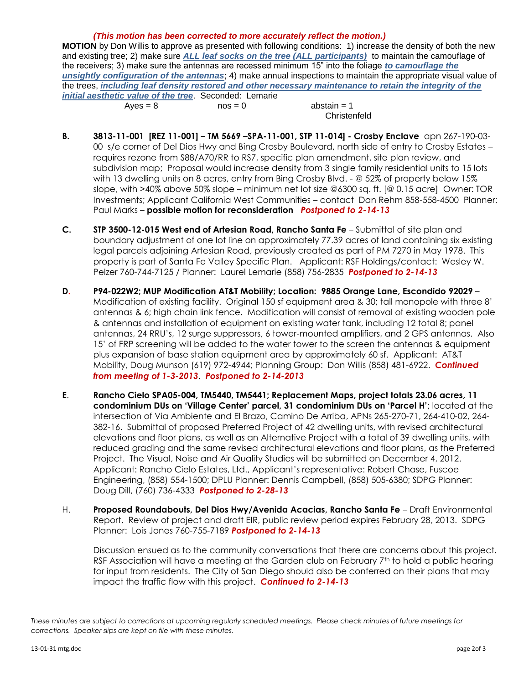## *(This motion has been corrected to more accurately reflect the motion.)*

**MOTION** by Don Willis to approve as presented with following conditions: 1) increase the density of both the new and existing tree; 2) make sure *ALL leaf socks on the tree (ALL participants)* to maintain the camouflage of the receivers; 3) make sure the antennas are recessed minimum 15" into the foliage *to camouflage the unsightly configuration of the antennas*; 4) make annual inspections to maintain the appropriate visual value of the trees, *including leaf density restored and other necessary maintenance to retain the integrity of the initial aesthetic value of the tree*. Seconded: Lemarie  $Ayes = 8$  nos = 0 abstain = 1

**Christenfeld** 

- **B. 3813-11-001 [REZ 11-001] – TM 5669 –SPA-11-001, STP 11-014] - Crosby Enclave** apn 267-190-03- 00 s/e corner of Del Dios Hwy and Bing Crosby Boulevard, north side of entry to Crosby Estates – requires rezone from S88/A70/RR to RS7, specific plan amendment, site plan review, and subdivision map; Proposal would increase density from 3 single family residential units to 15 lots with 13 dwelling units on 8 acres, entry from Bing Crosby Blvd. - @ 52% of property below 15% slope, with >40% above 50% slope – minimum net lot size @6300 sq. ft. [@ 0.15 acre] Owner: TOR Investments; Applicant California West Communities – contact Dan Rehm 858-558-4500 Planner: Paul Marks – **possible motion for reconsideration** *Postponed to 2-14-13*
- **C. STP 3500-12-015 West end of Artesian Road, Rancho Santa Fe** Submittal of site plan and boundary adjustment of one lot line on approximately 77.39 acres of land containing six existing legal parcels adjoining Artesian Road, previously created as part of PM 7270 in May 1978. This property is part of Santa Fe Valley Specific Plan.Applicant: RSF Holdings/contact: Wesley W. Pelzer 760-744-7125 / Planner: Laurel Lemarie (858) 756-2835 *Postponed to 2-14-13*
- **D. P94-022W2; MUP Modification AT&T Mobility; Location: 9885 Orange Lane, Escondido 92029** Modification of existing facility. Original 150 sf equipment area & 30; tall monopole with three 8' antennas & 6; high chain link fence. Modification will consist of removal of existing wooden pole & antennas and installation of equipment on existing water tank, including 12 total 8; panel antennas, 24 RRU's, 12 surge suppressors, 6 tower-mounted amplifiers, and 2 GPS antennas. Also 15' of FRP screening will be added to the water tower to the screen the antennas & equipment plus expansion of base station equipment area by approximately 60 sf. Applicant: AT&T Mobility, Doug Munson (619) 972-4944; Planning Group: Don Willis (858) 481-6922. *Continued from meeting of 1-3-2013*. *Postponed to 2-14-2013*
- **E**. **Rancho Cielo SPA05-004, TM5440, TM5441; Replacement Maps, project totals 23.06 acres, 11 condominium DUs on 'Village Center' parcel, 31 condominium DUs on 'Parcel H'**; located at the intersection of Via Ambiente and El Brazo, Camino De Arriba, APNs 265-270-71, 264-410-02, 264- 382-16. Submittal of proposed Preferred Project of 42 dwelling units, with revised architectural elevations and floor plans, as well as an Alternative Project with a total of 39 dwelling units, with reduced grading and the same revised architectural elevations and floor plans, as the Preferred Project. The Visual, Noise and Air Quality Studies will be submitted on December 4, 2012. Applicant: Rancho Cielo Estates, Ltd., Applicant's representative: Robert Chase, Fuscoe Engineering, (858) 554-1500; DPLU Planner: Dennis Campbell, (858) 505-6380; SDPG Planner: Doug Dill, (760) 736-4333 *Postponed to 2-28-13*
- H. **Proposed Roundabouts, Del Dios Hwy/Avenida Acacias, Rancho Santa Fe** Draft Environmental Report. Review of project and draft EIR, public review period expires February 28, 2013. SDPG Planner: Lois Jones 760-755-7189 *Postponed to 2-14-13*

Discussion ensued as to the community conversations that there are concerns about this project. RSF Association will have a meeting at the Garden club on February  $7<sup>th</sup>$  to hold a public hearing for input from residents. The City of San Diego should also be conferred on their plans that may impact the traffic flow with this project. *Continued to 2-14-13*

*These minutes are subject to corrections at upcoming regularly scheduled meetings. Please check minutes of future meetings for corrections. Speaker slips are kept on file with these minutes.*